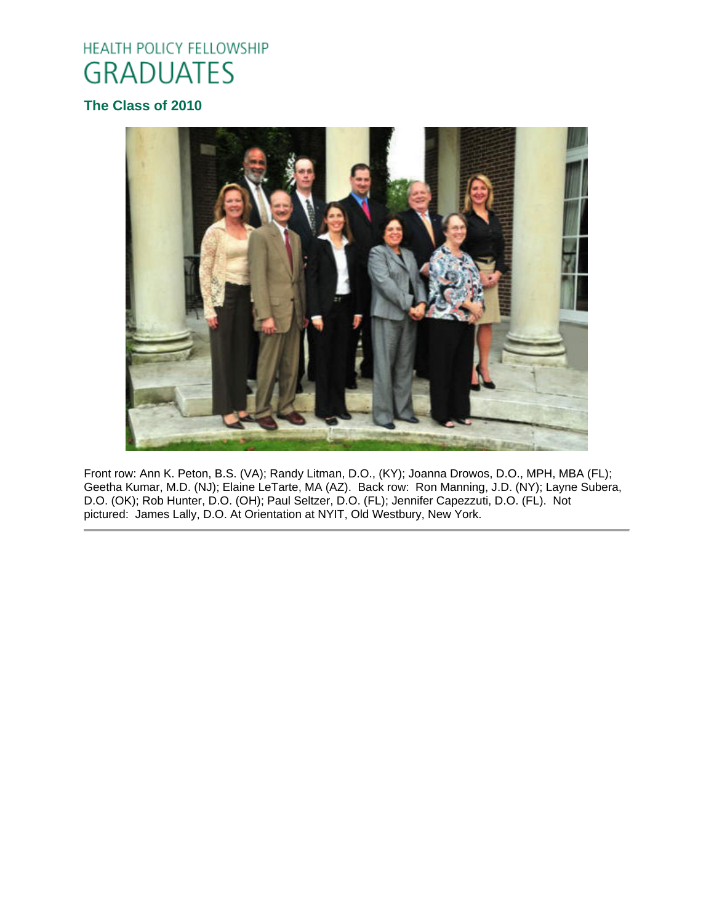# HEALTH POLICY FELLOWSHIP **GRADUATES**

## **The Class of 2010**



Front row: Ann K. Peton, B.S. (VA); Randy Litman, D.O., (KY); Joanna Drowos, D.O., MPH, MBA (FL); Geetha Kumar, M.D. (NJ); Elaine LeTarte, MA (AZ). Back row: Ron Manning, J.D. (NY); Layne Subera, D.O. (OK); Rob Hunter, D.O. (OH); Paul Seltzer, D.O. (FL); Jennifer Capezzuti, D.O. (FL). Not pictured: James Lally, D.O. At Orientation at NYIT, Old Westbury, New York.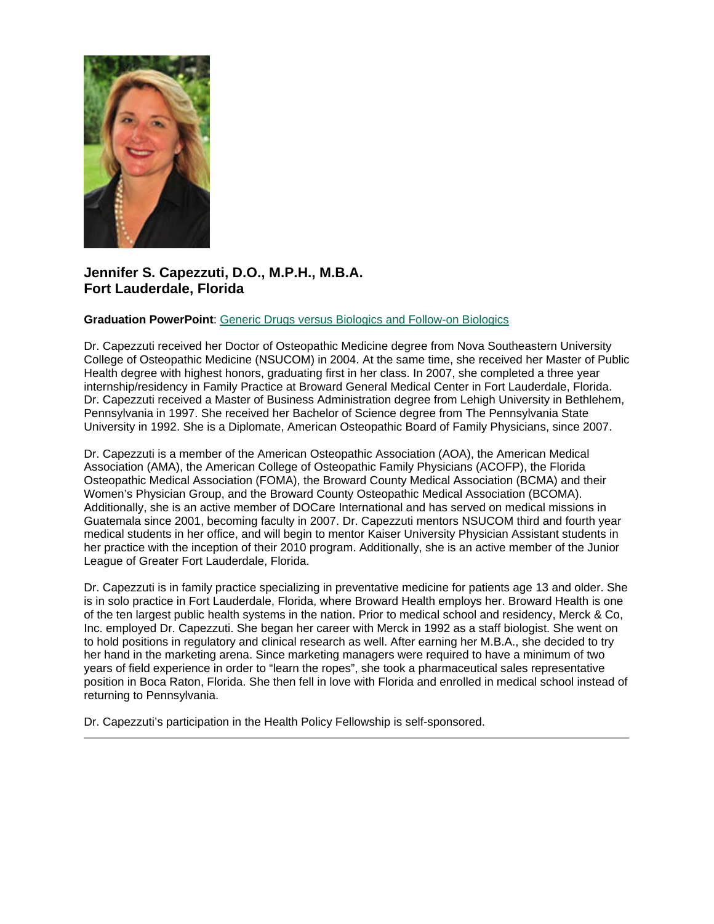

### **Jennifer S. Capezzuti, D.O., M.P.H., M.B.A. Fort Lauderdale, Florida**

#### **Graduation PowerPoint**: [Generic Drugs versus Biologics and Follow-on Biologics](https://ohio.box.com/s/mkojt0oxhg38apfa7b7csi2l9b35pjcm)

Dr. Capezzuti received her Doctor of Osteopathic Medicine degree from Nova Southeastern University College of Osteopathic Medicine (NSUCOM) in 2004. At the same time, she received her Master of Public Health degree with highest honors, graduating first in her class. In 2007, she completed a three year internship/residency in Family Practice at Broward General Medical Center in Fort Lauderdale, Florida. Dr. Capezzuti received a Master of Business Administration degree from Lehigh University in Bethlehem, Pennsylvania in 1997. She received her Bachelor of Science degree from The Pennsylvania State University in 1992. She is a Diplomate, American Osteopathic Board of Family Physicians, since 2007.

Dr. Capezzuti is a member of the American Osteopathic Association (AOA), the American Medical Association (AMA), the American College of Osteopathic Family Physicians (ACOFP), the Florida Osteopathic Medical Association (FOMA), the Broward County Medical Association (BCMA) and their Women's Physician Group, and the Broward County Osteopathic Medical Association (BCOMA). Additionally, she is an active member of DOCare International and has served on medical missions in Guatemala since 2001, becoming faculty in 2007. Dr. Capezzuti mentors NSUCOM third and fourth year medical students in her office, and will begin to mentor Kaiser University Physician Assistant students in her practice with the inception of their 2010 program. Additionally, she is an active member of the Junior League of Greater Fort Lauderdale, Florida.

Dr. Capezzuti is in family practice specializing in preventative medicine for patients age 13 and older. She is in solo practice in Fort Lauderdale, Florida, where Broward Health employs her. Broward Health is one of the ten largest public health systems in the nation. Prior to medical school and residency, Merck & Co, Inc. employed Dr. Capezzuti. She began her career with Merck in 1992 as a staff biologist. She went on to hold positions in regulatory and clinical research as well. After earning her M.B.A., she decided to try her hand in the marketing arena. Since marketing managers were required to have a minimum of two years of field experience in order to "learn the ropes", she took a pharmaceutical sales representative position in Boca Raton, Florida. She then fell in love with Florida and enrolled in medical school instead of returning to Pennsylvania.

Dr. Capezzuti's participation in the Health Policy Fellowship is self-sponsored.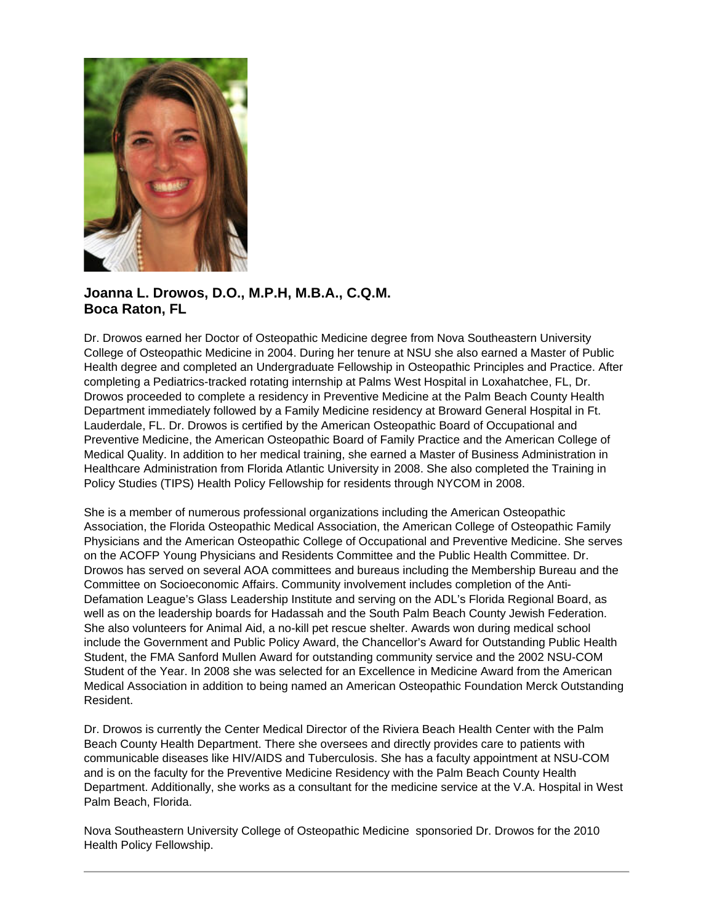

### **Joanna L. Drowos, D.O., M.P.H, M.B.A., C.Q.M. Boca Raton, FL**

Dr. Drowos earned her Doctor of Osteopathic Medicine degree from Nova Southeastern University College of Osteopathic Medicine in 2004. During her tenure at NSU she also earned a Master of Public Health degree and completed an Undergraduate Fellowship in Osteopathic Principles and Practice. After completing a Pediatrics-tracked rotating internship at Palms West Hospital in Loxahatchee, FL, Dr. Drowos proceeded to complete a residency in Preventive Medicine at the Palm Beach County Health Department immediately followed by a Family Medicine residency at Broward General Hospital in Ft. Lauderdale, FL. Dr. Drowos is certified by the American Osteopathic Board of Occupational and Preventive Medicine, the American Osteopathic Board of Family Practice and the American College of Medical Quality. In addition to her medical training, she earned a Master of Business Administration in Healthcare Administration from Florida Atlantic University in 2008. She also completed the Training in Policy Studies (TIPS) Health Policy Fellowship for residents through NYCOM in 2008.

She is a member of numerous professional organizations including the American Osteopathic Association, the Florida Osteopathic Medical Association, the American College of Osteopathic Family Physicians and the American Osteopathic College of Occupational and Preventive Medicine. She serves on the ACOFP Young Physicians and Residents Committee and the Public Health Committee. Dr. Drowos has served on several AOA committees and bureaus including the Membership Bureau and the Committee on Socioeconomic Affairs. Community involvement includes completion of the Anti-Defamation League's Glass Leadership Institute and serving on the ADL's Florida Regional Board, as well as on the leadership boards for Hadassah and the South Palm Beach County Jewish Federation. She also volunteers for Animal Aid, a no-kill pet rescue shelter. Awards won during medical school include the Government and Public Policy Award, the Chancellor's Award for Outstanding Public Health Student, the FMA Sanford Mullen Award for outstanding community service and the 2002 NSU-COM Student of the Year. In 2008 she was selected for an Excellence in Medicine Award from the American Medical Association in addition to being named an American Osteopathic Foundation Merck Outstanding Resident.

Dr. Drowos is currently the Center Medical Director of the Riviera Beach Health Center with the Palm Beach County Health Department. There she oversees and directly provides care to patients with communicable diseases like HIV/AIDS and Tuberculosis. She has a faculty appointment at NSU-COM and is on the faculty for the Preventive Medicine Residency with the Palm Beach County Health Department. Additionally, she works as a consultant for the medicine service at the V.A. Hospital in West Palm Beach, Florida.

Nova Southeastern University College of Osteopathic Medicine sponsoried Dr. Drowos for the 2010 Health Policy Fellowship.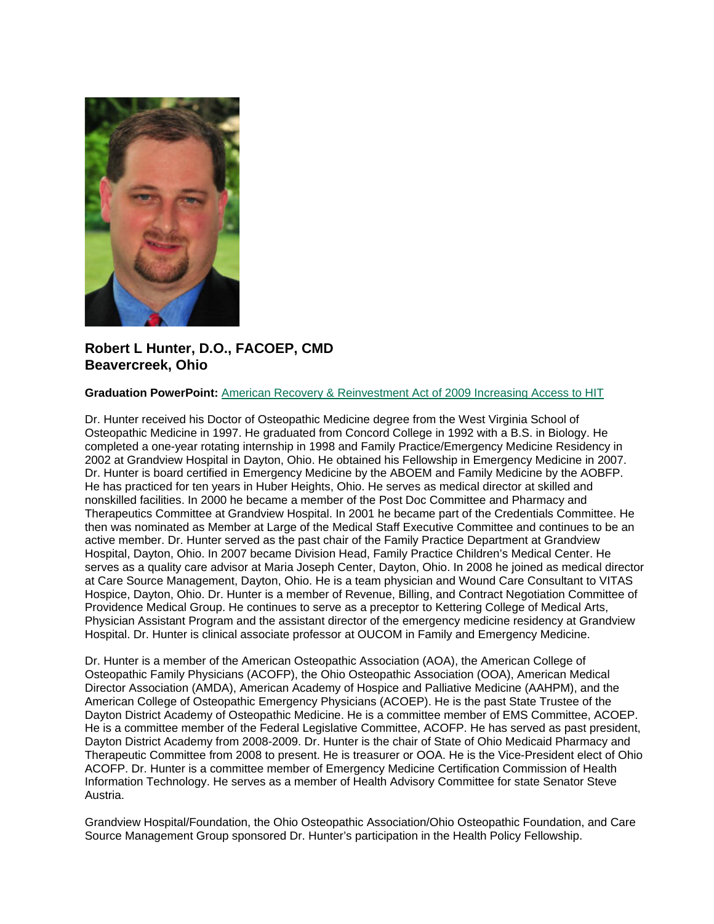

### **Robert L Hunter, D.O., FACOEP, CMD Beavercreek, Ohio**

#### **Graduation PowerPoint:** [American Recovery & Reinvestment Act of 2009 Increasing Access to HIT](https://ohio.box.com/s/aa369q50hfaxa5et2dn4ryg5kz18a43t)

Dr. Hunter received his Doctor of Osteopathic Medicine degree from the West Virginia School of Osteopathic Medicine in 1997. He graduated from Concord College in 1992 with a B.S. in Biology. He completed a one-year rotating internship in 1998 and Family Practice/Emergency Medicine Residency in 2002 at Grandview Hospital in Dayton, Ohio. He obtained his Fellowship in Emergency Medicine in 2007. Dr. Hunter is board certified in Emergency Medicine by the ABOEM and Family Medicine by the AOBFP. He has practiced for ten years in Huber Heights, Ohio. He serves as medical director at skilled and nonskilled facilities. In 2000 he became a member of the Post Doc Committee and Pharmacy and Therapeutics Committee at Grandview Hospital. In 2001 he became part of the Credentials Committee. He then was nominated as Member at Large of the Medical Staff Executive Committee and continues to be an active member. Dr. Hunter served as the past chair of the Family Practice Department at Grandview Hospital, Dayton, Ohio. In 2007 became Division Head, Family Practice Children's Medical Center. He serves as a quality care advisor at Maria Joseph Center, Dayton, Ohio. In 2008 he joined as medical director at Care Source Management, Dayton, Ohio. He is a team physician and Wound Care Consultant to VITAS Hospice, Dayton, Ohio. Dr. Hunter is a member of Revenue, Billing, and Contract Negotiation Committee of Providence Medical Group. He continues to serve as a preceptor to Kettering College of Medical Arts, Physician Assistant Program and the assistant director of the emergency medicine residency at Grandview Hospital. Dr. Hunter is clinical associate professor at OUCOM in Family and Emergency Medicine.

Dr. Hunter is a member of the American Osteopathic Association (AOA), the American College of Osteopathic Family Physicians (ACOFP), the Ohio Osteopathic Association (OOA), American Medical Director Association (AMDA), American Academy of Hospice and Palliative Medicine (AAHPM), and the American College of Osteopathic Emergency Physicians (ACOEP). He is the past State Trustee of the Dayton District Academy of Osteopathic Medicine. He is a committee member of EMS Committee, ACOEP. He is a committee member of the Federal Legislative Committee, ACOFP. He has served as past president, Dayton District Academy from 2008-2009. Dr. Hunter is the chair of State of Ohio Medicaid Pharmacy and Therapeutic Committee from 2008 to present. He is treasurer or OOA. He is the Vice-President elect of Ohio ACOFP. Dr. Hunter is a committee member of Emergency Medicine Certification Commission of Health Information Technology. He serves as a member of Health Advisory Committee for state Senator Steve Austria.

Grandview Hospital/Foundation, the Ohio Osteopathic Association/Ohio Osteopathic Foundation, and Care Source Management Group sponsored Dr. Hunter's participation in the Health Policy Fellowship.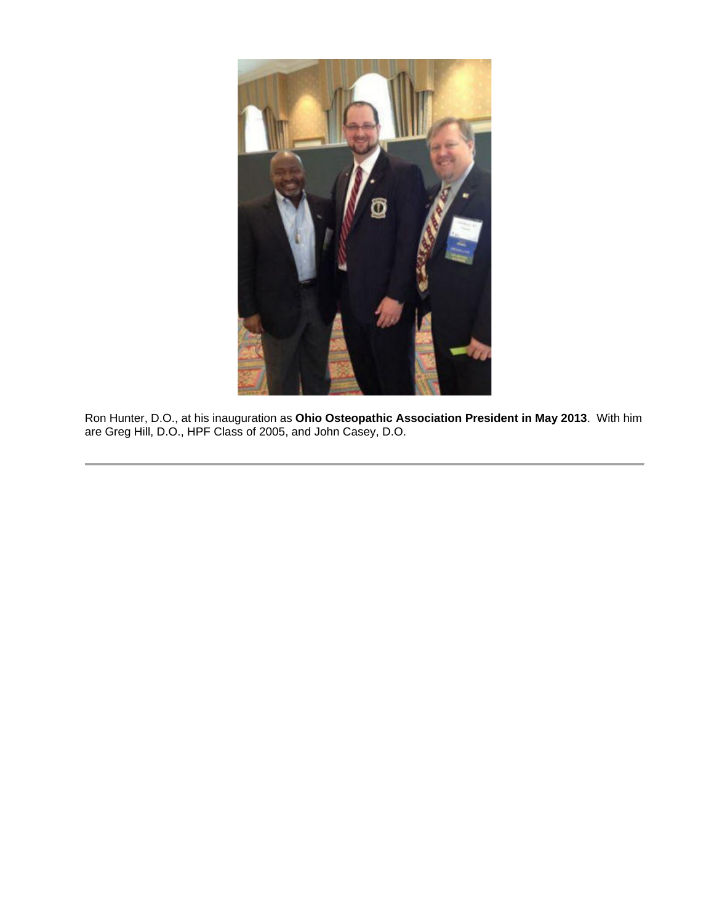

Ron Hunter, D.O., at his inauguration as **Ohio Osteopathic Association President in May 2013**. With him are Greg Hill, D.O., HPF Class of 2005, and John Casey, D.O.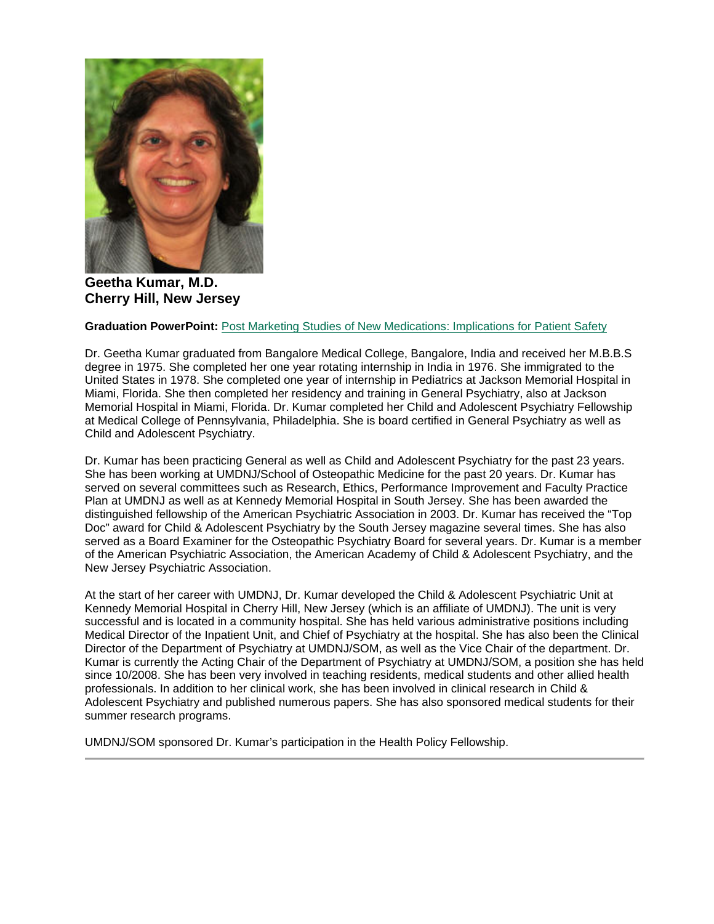

**Geetha Kumar, M.D. Cherry Hill, New Jersey**

### **Graduation PowerPoint:** [Post Marketing Studies of New Medications: Implications for Patient Safety](https://ohio.box.com/s/0n62z6pls66x4zi61ac0rd7ueqdej3d9)

Dr. Geetha Kumar graduated from Bangalore Medical College, Bangalore, India and received her M.B.B.S degree in 1975. She completed her one year rotating internship in India in 1976. She immigrated to the United States in 1978. She completed one year of internship in Pediatrics at Jackson Memorial Hospital in Miami, Florida. She then completed her residency and training in General Psychiatry, also at Jackson Memorial Hospital in Miami, Florida. Dr. Kumar completed her Child and Adolescent Psychiatry Fellowship at Medical College of Pennsylvania, Philadelphia. She is board certified in General Psychiatry as well as Child and Adolescent Psychiatry.

Dr. Kumar has been practicing General as well as Child and Adolescent Psychiatry for the past 23 years. She has been working at UMDNJ/School of Osteopathic Medicine for the past 20 years. Dr. Kumar has served on several committees such as Research, Ethics, Performance Improvement and Faculty Practice Plan at UMDNJ as well as at Kennedy Memorial Hospital in South Jersey. She has been awarded the distinguished fellowship of the American Psychiatric Association in 2003. Dr. Kumar has received the "Top Doc" award for Child & Adolescent Psychiatry by the South Jersey magazine several times. She has also served as a Board Examiner for the Osteopathic Psychiatry Board for several years. Dr. Kumar is a member of the American Psychiatric Association, the American Academy of Child & Adolescent Psychiatry, and the New Jersey Psychiatric Association.

At the start of her career with UMDNJ, Dr. Kumar developed the Child & Adolescent Psychiatric Unit at Kennedy Memorial Hospital in Cherry Hill, New Jersey (which is an affiliate of UMDNJ). The unit is very successful and is located in a community hospital. She has held various administrative positions including Medical Director of the Inpatient Unit, and Chief of Psychiatry at the hospital. She has also been the Clinical Director of the Department of Psychiatry at UMDNJ/SOM, as well as the Vice Chair of the department. Dr. Kumar is currently the Acting Chair of the Department of Psychiatry at UMDNJ/SOM, a position she has held since 10/2008. She has been very involved in teaching residents, medical students and other allied health professionals. In addition to her clinical work, she has been involved in clinical research in Child & Adolescent Psychiatry and published numerous papers. She has also sponsored medical students for their summer research programs.

UMDNJ/SOM sponsored Dr. Kumar's participation in the Health Policy Fellowship.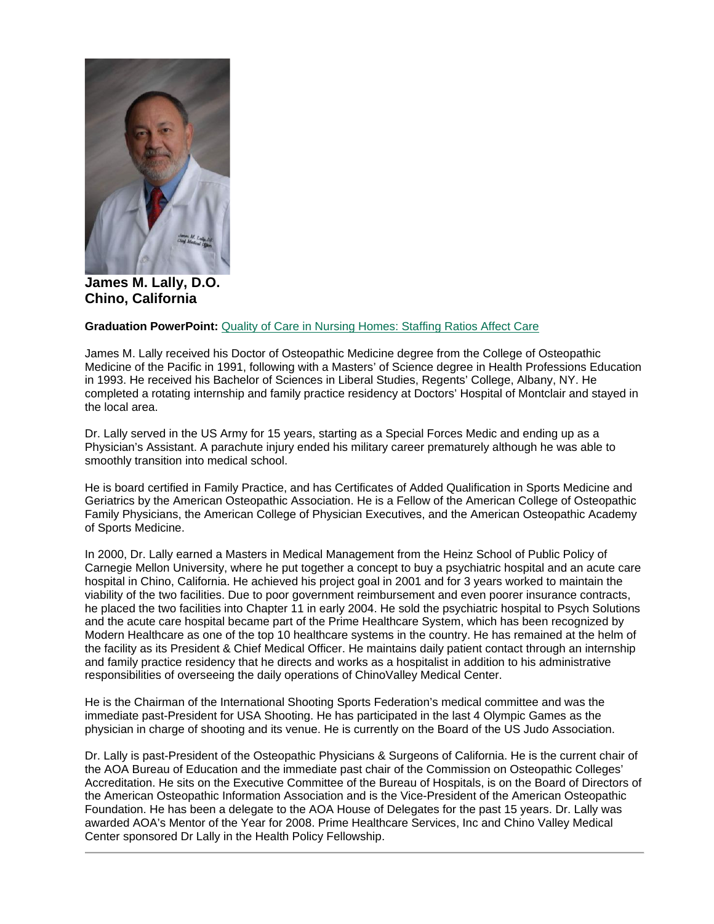

**James M. Lally, D.O. Chino, California**

#### **Graduation PowerPoint:** [Quality of Care in Nursing Homes: Staffing Ratios Affect Care](https://ohio.box.com/s/z2hxlh4q2h4rez2yleysj1oat1u6klrq)

James M. Lally received his Doctor of Osteopathic Medicine degree from the College of Osteopathic Medicine of the Pacific in 1991, following with a Masters' of Science degree in Health Professions Education in 1993. He received his Bachelor of Sciences in Liberal Studies, Regents' College, Albany, NY. He completed a rotating internship and family practice residency at Doctors' Hospital of Montclair and stayed in the local area.

Dr. Lally served in the US Army for 15 years, starting as a Special Forces Medic and ending up as a Physician's Assistant. A parachute injury ended his military career prematurely although he was able to smoothly transition into medical school.

He is board certified in Family Practice, and has Certificates of Added Qualification in Sports Medicine and Geriatrics by the American Osteopathic Association. He is a Fellow of the American College of Osteopathic Family Physicians, the American College of Physician Executives, and the American Osteopathic Academy of Sports Medicine.

In 2000, Dr. Lally earned a Masters in Medical Management from the Heinz School of Public Policy of Carnegie Mellon University, where he put together a concept to buy a psychiatric hospital and an acute care hospital in Chino, California. He achieved his project goal in 2001 and for 3 years worked to maintain the viability of the two facilities. Due to poor government reimbursement and even poorer insurance contracts, he placed the two facilities into Chapter 11 in early 2004. He sold the psychiatric hospital to Psych Solutions and the acute care hospital became part of the Prime Healthcare System, which has been recognized by Modern Healthcare as one of the top 10 healthcare systems in the country. He has remained at the helm of the facility as its President & Chief Medical Officer. He maintains daily patient contact through an internship and family practice residency that he directs and works as a hospitalist in addition to his administrative responsibilities of overseeing the daily operations of ChinoValley Medical Center.

He is the Chairman of the International Shooting Sports Federation's medical committee and was the immediate past-President for USA Shooting. He has participated in the last 4 Olympic Games as the physician in charge of shooting and its venue. He is currently on the Board of the US Judo Association.

Dr. Lally is past-President of the Osteopathic Physicians & Surgeons of California. He is the current chair of the AOA Bureau of Education and the immediate past chair of the Commission on Osteopathic Colleges' Accreditation. He sits on the Executive Committee of the Bureau of Hospitals, is on the Board of Directors of the American Osteopathic Information Association and is the Vice-President of the American Osteopathic Foundation. He has been a delegate to the AOA House of Delegates for the past 15 years. Dr. Lally was awarded AOA's Mentor of the Year for 2008. Prime Healthcare Services, Inc and Chino Valley Medical Center sponsored Dr Lally in the Health Policy Fellowship.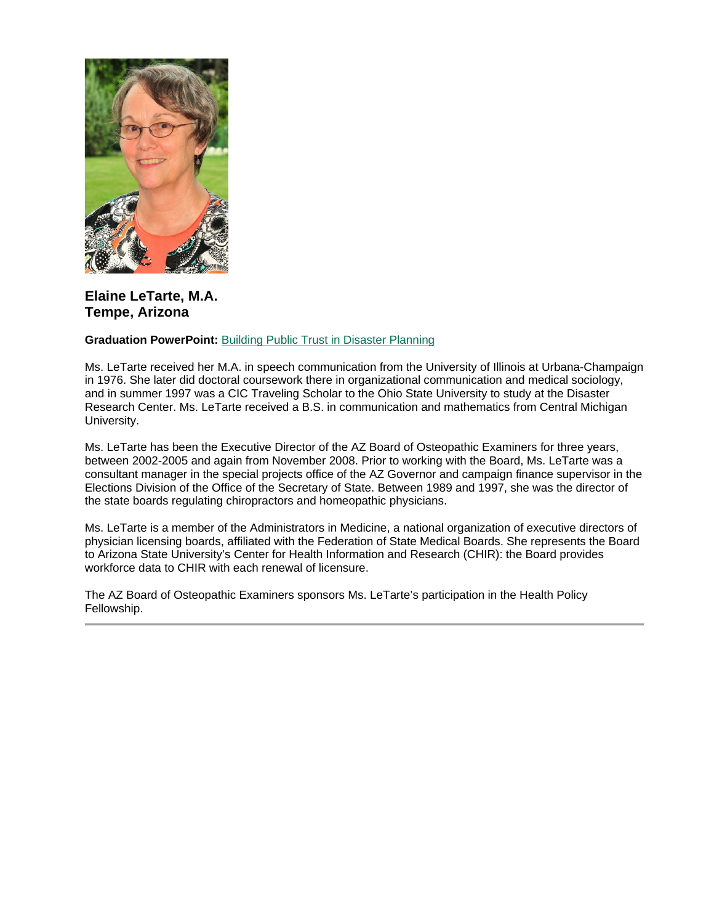

### **Elaine LeTarte, M.A. Tempe, Arizona**

### **Graduation PowerPoint:** [Building Public Trust in Disaster Planning](https://ohio.box.com/s/05jtcl1u6y6ihk2mzpl2llsbku193v59)

Ms. LeTarte received her M.A. in speech communication from the University of Illinois at Urbana-Champaign in 1976. She later did doctoral coursework there in organizational communication and medical sociology, and in summer 1997 was a CIC Traveling Scholar to the Ohio State University to study at the Disaster Research Center. Ms. LeTarte received a B.S. in communication and mathematics from Central Michigan University.

Ms. LeTarte has been the Executive Director of the AZ Board of Osteopathic Examiners for three years, between 2002-2005 and again from November 2008. Prior to working with the Board, Ms. LeTarte was a consultant manager in the special projects office of the AZ Governor and campaign finance supervisor in the Elections Division of the Office of the Secretary of State. Between 1989 and 1997, she was the director of the state boards regulating chiropractors and homeopathic physicians.

Ms. LeTarte is a member of the Administrators in Medicine, a national organization of executive directors of physician licensing boards, affiliated with the Federation of State Medical Boards. She represents the Board to Arizona State University's Center for Health Information and Research (CHIR): the Board provides workforce data to CHIR with each renewal of licensure.

The AZ Board of Osteopathic Examiners sponsors Ms. LeTarte's participation in the Health Policy Fellowship.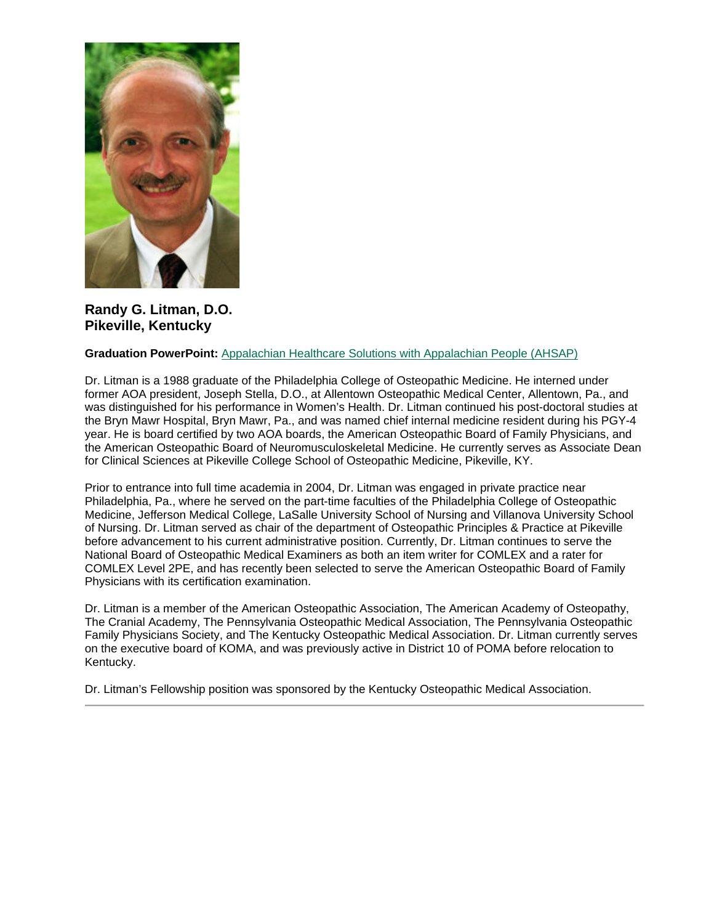

**Randy G. Litman, D.O. Pikeville, Kentucky**

#### **Graduation PowerPoint:** [Appalachian Healthcare Solutions with Appalachian People \(AHSAP\)](https://ohio.box.com/s/hpj812073iix6vg4fesq67uygldq0ccf)

Dr. Litman is a 1988 graduate of the Philadelphia College of Osteopathic Medicine. He interned under former AOA president, Joseph Stella, D.O., at Allentown Osteopathic Medical Center, Allentown, Pa., and was distinguished for his performance in Women's Health. Dr. Litman continued his post-doctoral studies at the Bryn Mawr Hospital, Bryn Mawr, Pa., and was named chief internal medicine resident during his PGY-4 year. He is board certified by two AOA boards, the American Osteopathic Board of Family Physicians, and the American Osteopathic Board of Neuromusculoskeletal Medicine. He currently serves as Associate Dean for Clinical Sciences at Pikeville College School of Osteopathic Medicine, Pikeville, KY.

Prior to entrance into full time academia in 2004, Dr. Litman was engaged in private practice near Philadelphia, Pa., where he served on the part-time faculties of the Philadelphia College of Osteopathic Medicine, Jefferson Medical College, LaSalle University School of Nursing and Villanova University School of Nursing. Dr. Litman served as chair of the department of Osteopathic Principles & Practice at Pikeville before advancement to his current administrative position. Currently, Dr. Litman continues to serve the National Board of Osteopathic Medical Examiners as both an item writer for COMLEX and a rater for COMLEX Level 2PE, and has recently been selected to serve the American Osteopathic Board of Family Physicians with its certification examination.

Dr. Litman is a member of the American Osteopathic Association, The American Academy of Osteopathy, The Cranial Academy, The Pennsylvania Osteopathic Medical Association, The Pennsylvania Osteopathic Family Physicians Society, and The Kentucky Osteopathic Medical Association. Dr. Litman currently serves on the executive board of KOMA, and was previously active in District 10 of POMA before relocation to Kentucky.

Dr. Litman's Fellowship position was sponsored by the Kentucky Osteopathic Medical Association.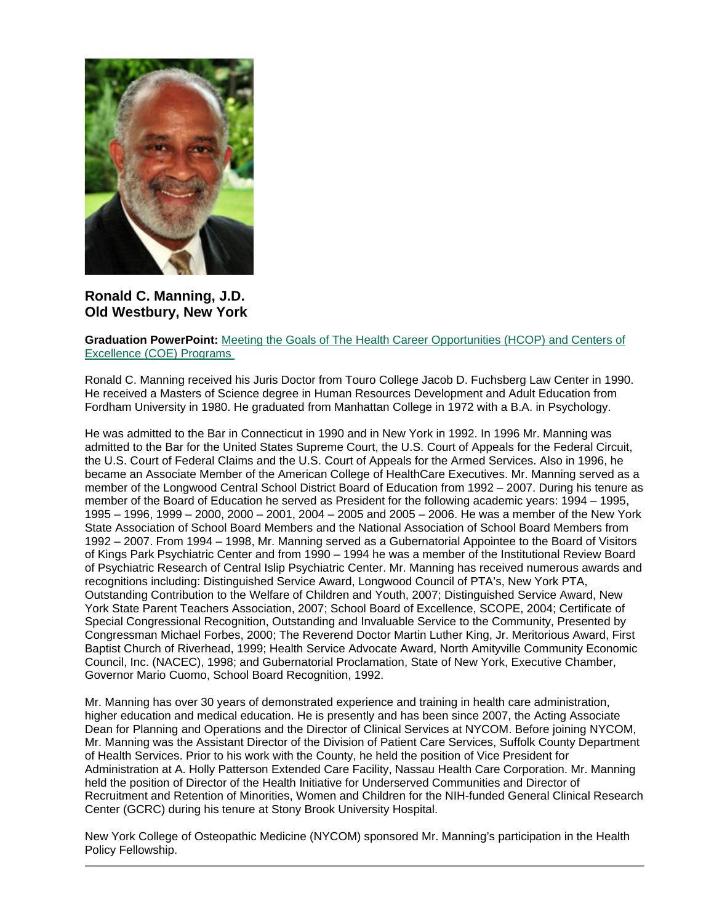

**Ronald C. Manning, J.D. Old Westbury, New York**

### **Graduation PowerPoint:** [Meeting the Goals of The Health Career Opportunities \(HCOP\) and Centers of](https://ohio.box.com/s/o8j59v0qzd9v32hb8uhee1uqp9szj6i9)  [Excellence \(COE\) Programs](https://ohio.box.com/s/o8j59v0qzd9v32hb8uhee1uqp9szj6i9)

Ronald C. Manning received his Juris Doctor from Touro College Jacob D. Fuchsberg Law Center in 1990. He received a Masters of Science degree in Human Resources Development and Adult Education from Fordham University in 1980. He graduated from Manhattan College in 1972 with a B.A. in Psychology.

He was admitted to the Bar in Connecticut in 1990 and in New York in 1992. In 1996 Mr. Manning was admitted to the Bar for the United States Supreme Court, the U.S. Court of Appeals for the Federal Circuit, the U.S. Court of Federal Claims and the U.S. Court of Appeals for the Armed Services. Also in 1996, he became an Associate Member of the American College of HealthCare Executives. Mr. Manning served as a member of the Longwood Central School District Board of Education from 1992 – 2007. During his tenure as member of the Board of Education he served as President for the following academic years: 1994 – 1995, 1995 – 1996, 1999 – 2000, 2000 – 2001, 2004 – 2005 and 2005 – 2006. He was a member of the New York State Association of School Board Members and the National Association of School Board Members from 1992 – 2007. From 1994 – 1998, Mr. Manning served as a Gubernatorial Appointee to the Board of Visitors of Kings Park Psychiatric Center and from 1990 – 1994 he was a member of the Institutional Review Board of Psychiatric Research of Central Islip Psychiatric Center. Mr. Manning has received numerous awards and recognitions including: Distinguished Service Award, Longwood Council of PTA's, New York PTA, Outstanding Contribution to the Welfare of Children and Youth, 2007; Distinguished Service Award, New York State Parent Teachers Association, 2007; School Board of Excellence, SCOPE, 2004; Certificate of Special Congressional Recognition, Outstanding and Invaluable Service to the Community, Presented by Congressman Michael Forbes, 2000; The Reverend Doctor Martin Luther King, Jr. Meritorious Award, First Baptist Church of Riverhead, 1999; Health Service Advocate Award, North Amityville Community Economic Council, Inc. (NACEC), 1998; and Gubernatorial Proclamation, State of New York, Executive Chamber, Governor Mario Cuomo, School Board Recognition, 1992.

Mr. Manning has over 30 years of demonstrated experience and training in health care administration, higher education and medical education. He is presently and has been since 2007, the Acting Associate Dean for Planning and Operations and the Director of Clinical Services at NYCOM. Before joining NYCOM, Mr. Manning was the Assistant Director of the Division of Patient Care Services, Suffolk County Department of Health Services. Prior to his work with the County, he held the position of Vice President for Administration at A. Holly Patterson Extended Care Facility, Nassau Health Care Corporation. Mr. Manning held the position of Director of the Health Initiative for Underserved Communities and Director of Recruitment and Retention of Minorities, Women and Children for the NIH-funded General Clinical Research Center (GCRC) during his tenure at Stony Brook University Hospital.

New York College of Osteopathic Medicine (NYCOM) sponsored Mr. Manning's participation in the Health Policy Fellowship.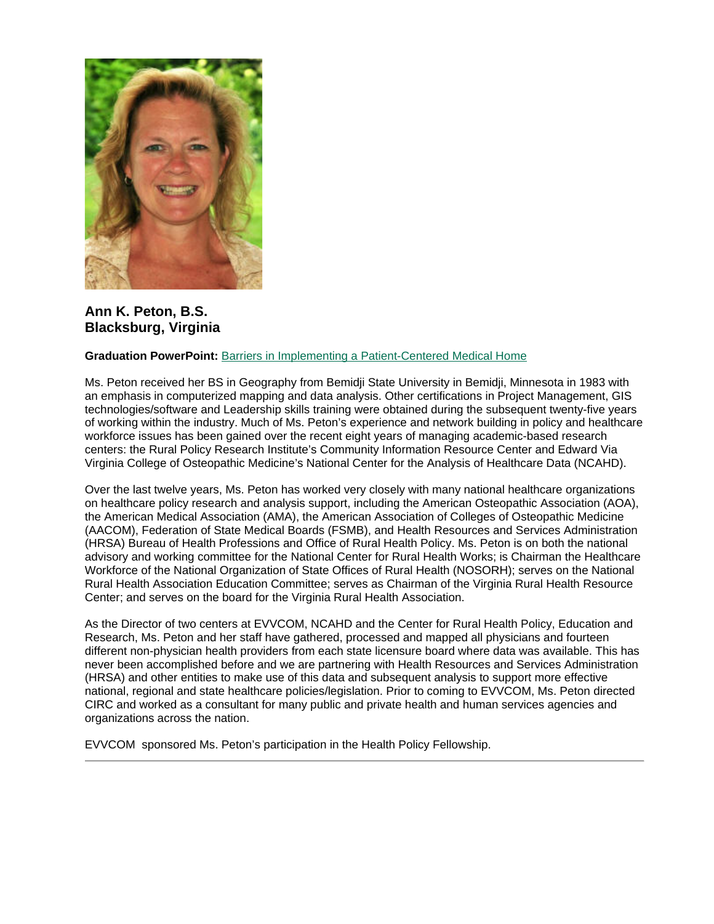

### **Ann K. Peton, B.S. Blacksburg, Virginia**

### **Graduation PowerPoint:** [Barriers in Implementing a Patient-Centered Medical Home](https://ohio.box.com/s/id1fng80me9xplohk0e0sldqg4py71ni)

Ms. Peton received her BS in Geography from Bemidji State University in Bemidji, Minnesota in 1983 with an emphasis in computerized mapping and data analysis. Other certifications in Project Management, GIS technologies/software and Leadership skills training were obtained during the subsequent twenty-five years of working within the industry. Much of Ms. Peton's experience and network building in policy and healthcare workforce issues has been gained over the recent eight years of managing academic-based research centers: the Rural Policy Research Institute's Community Information Resource Center and Edward Via Virginia College of Osteopathic Medicine's National Center for the Analysis of Healthcare Data (NCAHD).

Over the last twelve years, Ms. Peton has worked very closely with many national healthcare organizations on healthcare policy research and analysis support, including the American Osteopathic Association (AOA), the American Medical Association (AMA), the American Association of Colleges of Osteopathic Medicine (AACOM), Federation of State Medical Boards (FSMB), and Health Resources and Services Administration (HRSA) Bureau of Health Professions and Office of Rural Health Policy. Ms. Peton is on both the national advisory and working committee for the National Center for Rural Health Works; is Chairman the Healthcare Workforce of the National Organization of State Offices of Rural Health (NOSORH); serves on the National Rural Health Association Education Committee; serves as Chairman of the Virginia Rural Health Resource Center; and serves on the board for the Virginia Rural Health Association.

As the Director of two centers at EVVCOM, NCAHD and the Center for Rural Health Policy, Education and Research, Ms. Peton and her staff have gathered, processed and mapped all physicians and fourteen different non-physician health providers from each state licensure board where data was available. This has never been accomplished before and we are partnering with Health Resources and Services Administration (HRSA) and other entities to make use of this data and subsequent analysis to support more effective national, regional and state healthcare policies/legislation. Prior to coming to EVVCOM, Ms. Peton directed CIRC and worked as a consultant for many public and private health and human services agencies and organizations across the nation.

EVVCOM sponsored Ms. Peton's participation in the Health Policy Fellowship.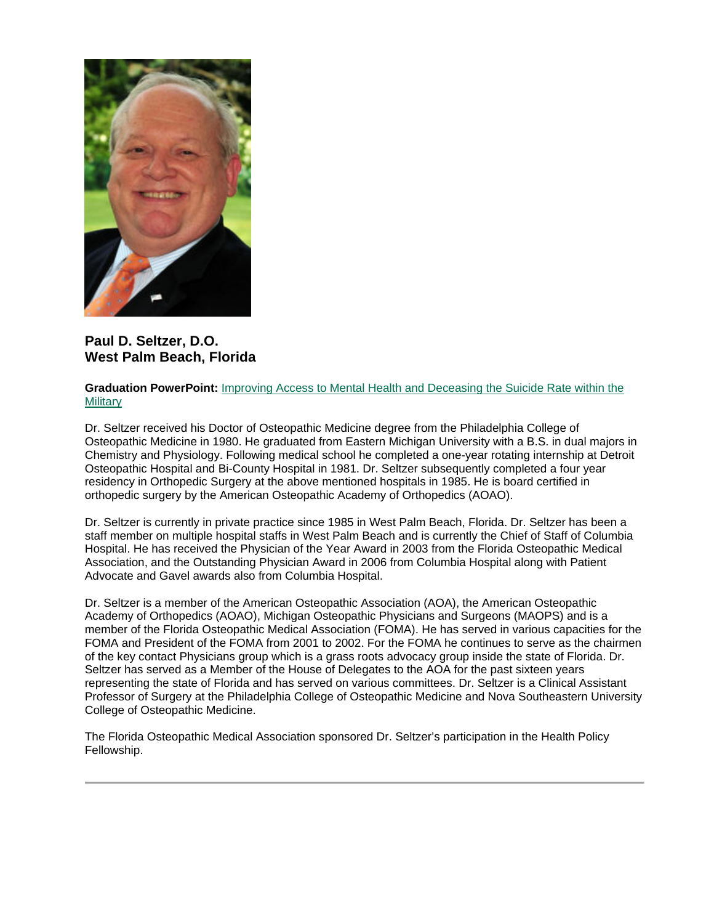

**Paul D. Seltzer, D.O. West Palm Beach, Florida**

### **Graduation PowerPoint:** [Improving Access to Mental Health and Deceasing the Suicide Rate within the](https://ohio.box.com/s/lcyrwoenqcz84zb5odauqqjljjwqh51d)  **[Military](https://ohio.box.com/s/lcyrwoenqcz84zb5odauqqjljjwqh51d)**

Dr. Seltzer received his Doctor of Osteopathic Medicine degree from the Philadelphia College of Osteopathic Medicine in 1980. He graduated from Eastern Michigan University with a B.S. in dual majors in Chemistry and Physiology. Following medical school he completed a one-year rotating internship at Detroit Osteopathic Hospital and Bi-County Hospital in 1981. Dr. Seltzer subsequently completed a four year residency in Orthopedic Surgery at the above mentioned hospitals in 1985. He is board certified in orthopedic surgery by the American Osteopathic Academy of Orthopedics (AOAO).

Dr. Seltzer is currently in private practice since 1985 in West Palm Beach, Florida. Dr. Seltzer has been a staff member on multiple hospital staffs in West Palm Beach and is currently the Chief of Staff of Columbia Hospital. He has received the Physician of the Year Award in 2003 from the Florida Osteopathic Medical Association, and the Outstanding Physician Award in 2006 from Columbia Hospital along with Patient Advocate and Gavel awards also from Columbia Hospital.

Dr. Seltzer is a member of the American Osteopathic Association (AOA), the American Osteopathic Academy of Orthopedics (AOAO), Michigan Osteopathic Physicians and Surgeons (MAOPS) and is a member of the Florida Osteopathic Medical Association (FOMA). He has served in various capacities for the FOMA and President of the FOMA from 2001 to 2002. For the FOMA he continues to serve as the chairmen of the key contact Physicians group which is a grass roots advocacy group inside the state of Florida. Dr. Seltzer has served as a Member of the House of Delegates to the AOA for the past sixteen years representing the state of Florida and has served on various committees. Dr. Seltzer is a Clinical Assistant Professor of Surgery at the Philadelphia College of Osteopathic Medicine and Nova Southeastern University College of Osteopathic Medicine.

The Florida Osteopathic Medical Association sponsored Dr. Seltzer's participation in the Health Policy Fellowship.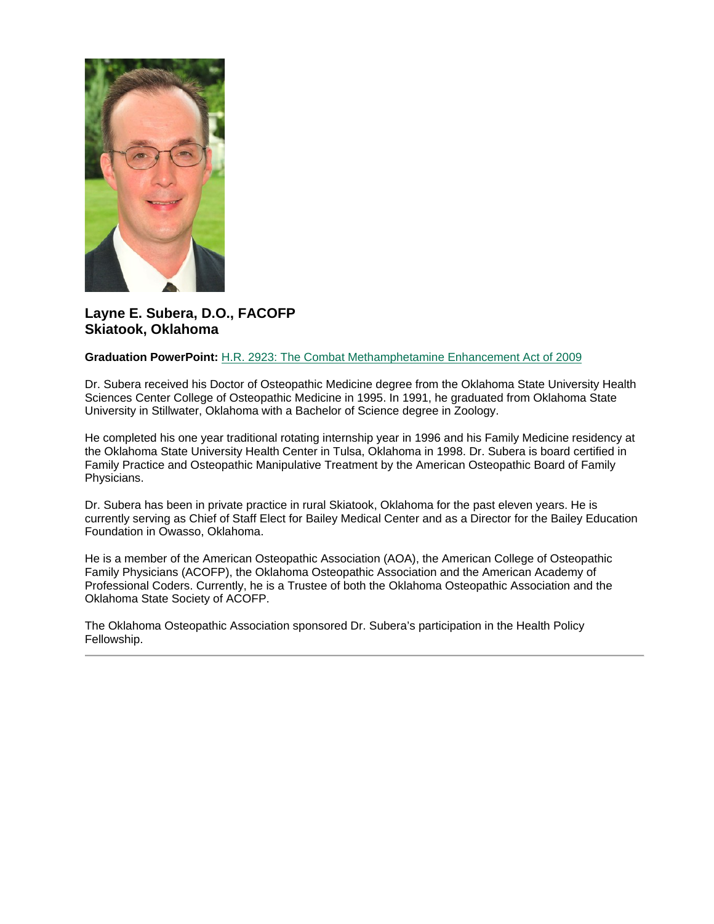

### **Layne E. Subera, D.O., FACOFP Skiatook, Oklahoma**

#### **Graduation PowerPoint:** [H.R. 2923: The Combat Methamphetamine Enhancement Act of 2009](https://ohio.box.com/s/tegyc1urhejiueiun02i0gnevhlv5kfc)

Dr. Subera received his Doctor of Osteopathic Medicine degree from the Oklahoma State University Health Sciences Center College of Osteopathic Medicine in 1995. In 1991, he graduated from Oklahoma State University in Stillwater, Oklahoma with a Bachelor of Science degree in Zoology.

He completed his one year traditional rotating internship year in 1996 and his Family Medicine residency at the Oklahoma State University Health Center in Tulsa, Oklahoma in 1998. Dr. Subera is board certified in Family Practice and Osteopathic Manipulative Treatment by the American Osteopathic Board of Family Physicians.

Dr. Subera has been in private practice in rural Skiatook, Oklahoma for the past eleven years. He is currently serving as Chief of Staff Elect for Bailey Medical Center and as a Director for the Bailey Education Foundation in Owasso, Oklahoma.

He is a member of the American Osteopathic Association (AOA), the American College of Osteopathic Family Physicians (ACOFP), the Oklahoma Osteopathic Association and the American Academy of Professional Coders. Currently, he is a Trustee of both the Oklahoma Osteopathic Association and the Oklahoma State Society of ACOFP.

The Oklahoma Osteopathic Association sponsored Dr. Subera's participation in the Health Policy Fellowship.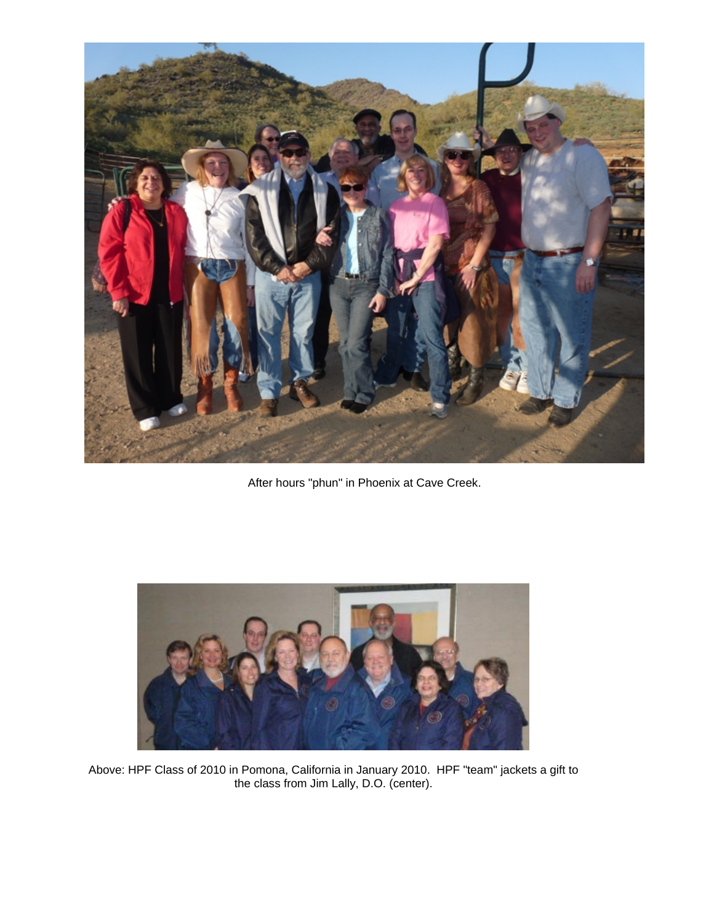

After hours "phun" in Phoenix at Cave Creek.



Above: HPF Class of 2010 in Pomona, California in January 2010. HPF "team" jackets a gift to the class from Jim Lally, D.O. (center).